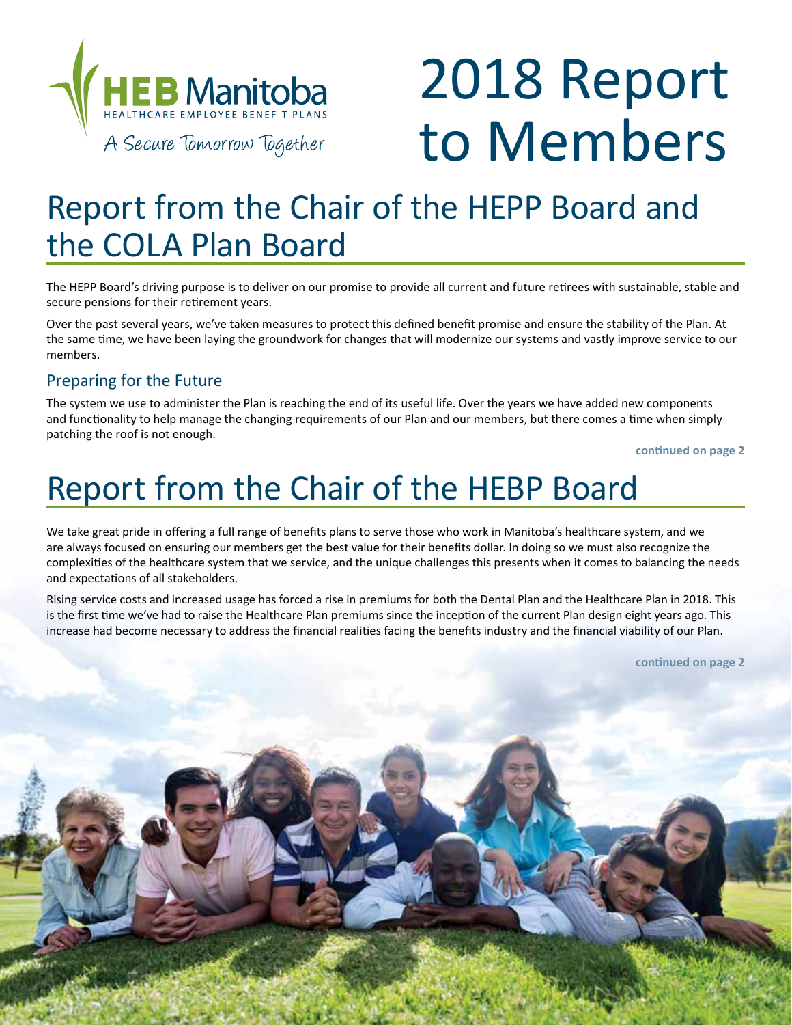

# 2018 Report to Members

## Report from the Chair of the HEPP Board and the COLA Plan Board

The HEPP Board's driving purpose is to deliver on our promise to provide all current and future retirees with sustainable, stable and secure pensions for their retirement years.

Over the past several years, we've taken measures to protect this defined benefit promise and ensure the stability of the Plan. At the same time, we have been laying the groundwork for changes that will modernize our systems and vastly improve service to our members.

#### Preparing for the Future

The system we use to administer the Plan is reaching the end of its useful life. Over the years we have added new components and functionality to help manage the changing requirements of our Plan and our members, but there comes a time when simply patching the roof is not enough.

**continued on page 2**

## Report from the Chair of the HEBP Board

We take great pride in offering a full range of benefits plans to serve those who work in Manitoba's healthcare system, and we are always focused on ensuring our members get the best value for their benefits dollar. In doing so we must also recognize the complexities of the healthcare system that we service, and the unique challenges this presents when it comes to balancing the needs and expectations of all stakeholders.

Rising service costs and increased usage has forced a rise in premiums for both the Dental Plan and the Healthcare Plan in 2018. This is the first time we've had to raise the Healthcare Plan premiums since the inception of the current Plan design eight years ago. This increase had become necessary to address the financial realities facing the benefits industry and the financial viability of our Plan.

**continued on page 2**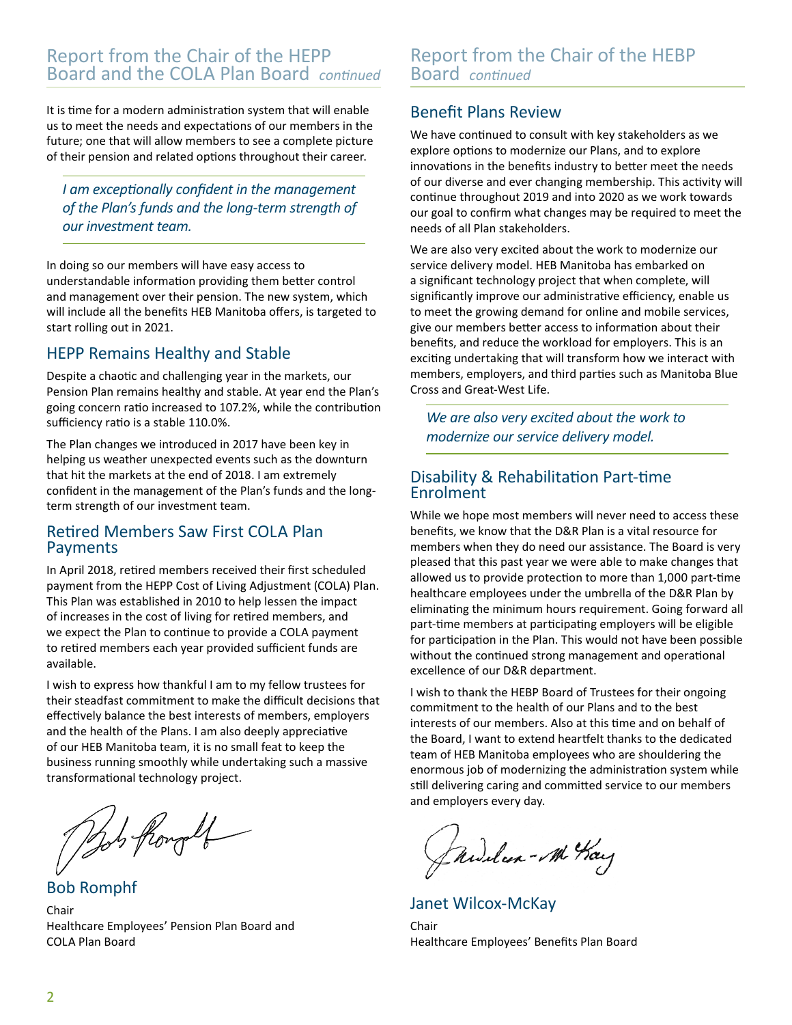#### Report from the Chair of the HEPP Board and the COLA Plan Board *continued*

It is time for a modern administration system that will enable us to meet the needs and expectations of our members in the future; one that will allow members to see a complete picture of their pension and related options throughout their career.

*I am exceptionally confident in the management of the Plan's funds and the long-term strength of our investment team.* 

In doing so our members will have easy access to understandable information providing them better control and management over their pension. The new system, which will include all the benefits HEB Manitoba offers, is targeted to start rolling out in 2021.

#### HEPP Remains Healthy and Stable

Despite a chaotic and challenging year in the markets, our Pension Plan remains healthy and stable. At year end the Plan's going concern ratio increased to 107.2%, while the contribution sufficiency ratio is a stable 110.0%.

The Plan changes we introduced in 2017 have been key in helping us weather unexpected events such as the downturn that hit the markets at the end of 2018. I am extremely confident in the management of the Plan's funds and the longterm strength of our investment team.

#### Retired Members Saw First COLA Plan Payments

In April 2018, retired members received their first scheduled payment from the HEPP Cost of Living Adjustment (COLA) Plan. This Plan was established in 2010 to help lessen the impact of increases in the cost of living for retired members, and we expect the Plan to continue to provide a COLA payment to retired members each year provided sufficient funds are available.

I wish to express how thankful I am to my fellow trustees for their steadfast commitment to make the difficult decisions that effectively balance the best interests of members, employers and the health of the Plans. I am also deeply appreciative of our HEB Manitoba team, it is no small feat to keep the business running smoothly while undertaking such a massive transformational technology project.

Bots from of

Bob Romphf Chair Healthcare Employees' Pension Plan Board and COLA Plan Board

#### Benefit Plans Review

We have continued to consult with key stakeholders as we explore options to modernize our Plans, and to explore innovations in the benefits industry to better meet the needs of our diverse and ever changing membership. This activity will continue throughout 2019 and into 2020 as we work towards our goal to confirm what changes may be required to meet the needs of all Plan stakeholders.

We are also very excited about the work to modernize our service delivery model. HEB Manitoba has embarked on a significant technology project that when complete, will significantly improve our administrative efficiency, enable us to meet the growing demand for online and mobile services, give our members better access to information about their benefits, and reduce the workload for employers. This is an exciting undertaking that will transform how we interact with members, employers, and third parties such as Manitoba Blue Cross and Great-West Life.

*We are also very excited about the work to modernize our service delivery model.* 

#### Disability & Rehabilitation Part-time Enrolment

While we hope most members will never need to access these benefits, we know that the D&R Plan is a vital resource for members when they do need our assistance. The Board is very pleased that this past year we were able to make changes that allowed us to provide protection to more than 1,000 part-time healthcare employees under the umbrella of the D&R Plan by eliminating the minimum hours requirement. Going forward all part-time members at participating employers will be eligible for participation in the Plan. This would not have been possible without the continued strong management and operational excellence of our D&R department.

I wish to thank the HEBP Board of Trustees for their ongoing commitment to the health of our Plans and to the best interests of our members. Also at this time and on behalf of the Board, I want to extend heartfelt thanks to the dedicated team of HEB Manitoba employees who are shouldering the enormous job of modernizing the administration system while still delivering caring and committed service to our members and employers every day.

Jawilian - M Kay

Janet Wilcox-McKay

Chair Healthcare Employees' Benefits Plan Board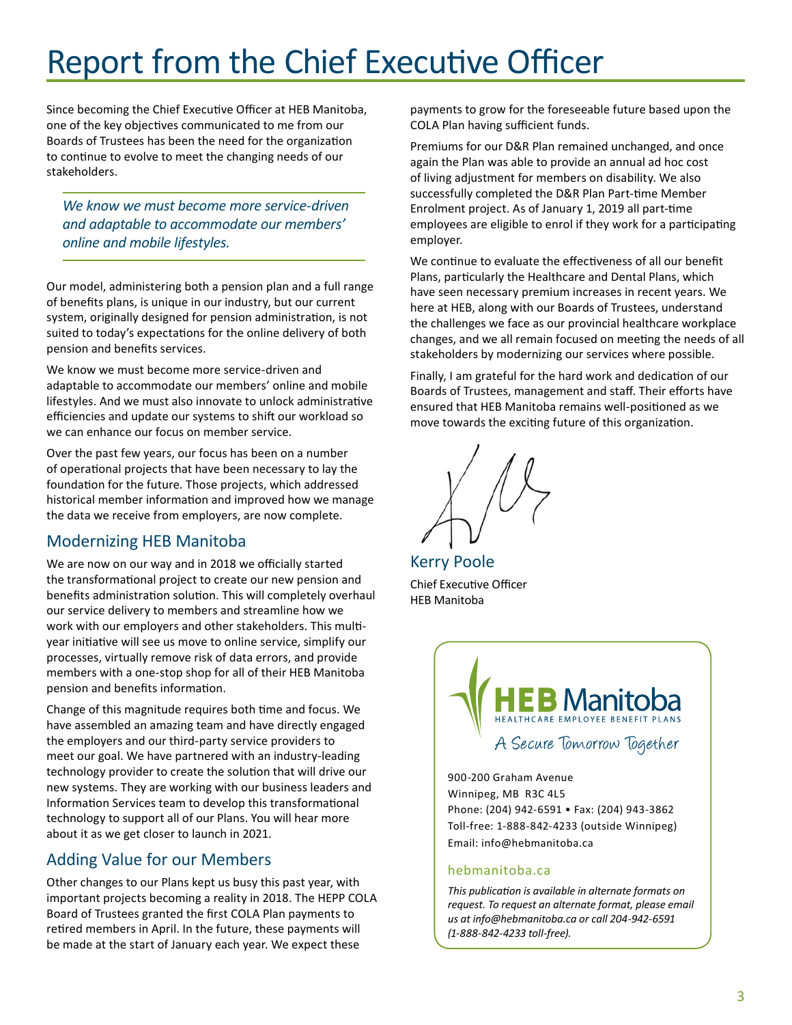## Report from the Chief Executive Officer

Since becoming the Chief Executive Officer at HEB Manitoba, one of the key objectives communicated to me from our Boards of Trustees has been the need for the organization to continue to evolve to meet the changing needs of our stakeholders.

*We know we must become more service-driven and adaptable to accommodate our members' online and mobile lifestyles.* 

Our model, administering both a pension plan and a full range of benefits plans, is unique in our industry, but our current system, originally designed for pension administration, is not suited to today's expectations for the online delivery of both pension and benefits services.

We know we must become more service-driven and adaptable to accommodate our members' online and mobile lifestyles. And we must also innovate to unlock administrative efficiencies and update our systems to shift our workload so we can enhance our focus on member service.

Over the past few years, our focus has been on a number of operational projects that have been necessary to lay the foundation for the future. Those projects, which addressed historical member information and improved how we manage the data we receive from employers, are now complete.

#### Modernizing HEB Manitoba

We are now on our way and in 2018 we officially started the transformational project to create our new pension and benefits administration solution. This will completely overhaul our service delivery to members and streamline how we work with our employers and other stakeholders. This multiyear initiative will see us move to online service, simplify our processes, virtually remove risk of data errors, and provide members with a one-stop shop for all of their HEB Manitoba pension and benefits information.

Change of this magnitude requires both time and focus. We have assembled an amazing team and have directly engaged the employers and our third-party service providers to meet our goal. We have partnered with an industry-leading technology provider to create the solution that will drive our new systems. They are working with our business leaders and Information Services team to develop this transformational technology to support all of our Plans. You will hear more about it as we get closer to launch in 2021.

#### Adding Value for our Members

Other changes to our Plans kept us busy this past year, with important projects becoming a reality in 2018. The HEPP COLA Board of Trustees granted the first COLA Plan payments to retired members in April. In the future, these payments will be made at the start of January each year. We expect these

payments to grow for the foreseeable future based upon the COLA Plan having sufficient funds.

Premiums for our D&R Plan remained unchanged, and once again the Plan was able to provide an annual ad hoc cost of living adjustment for members on disability. We also successfully completed the D&R Plan Part-time Member Enrolment project. As of January 1, 2019 all part-time employees are eligible to enrol if they work for a participating employer.

We continue to evaluate the effectiveness of all our benefit Plans, particularly the Healthcare and Dental Plans, which have seen necessary premium increases in recent years. We here at HEB, along with our Boards of Trustees, understand the challenges we face as our provincial healthcare workplace changes, and we all remain focused on meeting the needs of all stakeholders by modernizing our services where possible.

Finally, I am grateful for the hard work and dedication of our Boards of Trustees, management and staff. Their efforts have ensured that HEB Manitoba remains well-positioned as we move towards the exciting future of this organization.

Kerry Poole Chief Executive Officer HEB Manitoba



900-200 Graham Avenue Winnipeg, MB R3C 4L5 Phone: (204) 942-6591 • Fax: (204) 943-3862 Toll-free: 1-888-842-4233 (outside Winnipeg) Email: info@hebmanitoba.ca

#### hebmanitoba.ca

*This publication is available in alternate formats on request. To request an alternate format, please email us at info@hebmanitoba.ca or call 204-942-6591 (1-888-842-4233 toll-free).*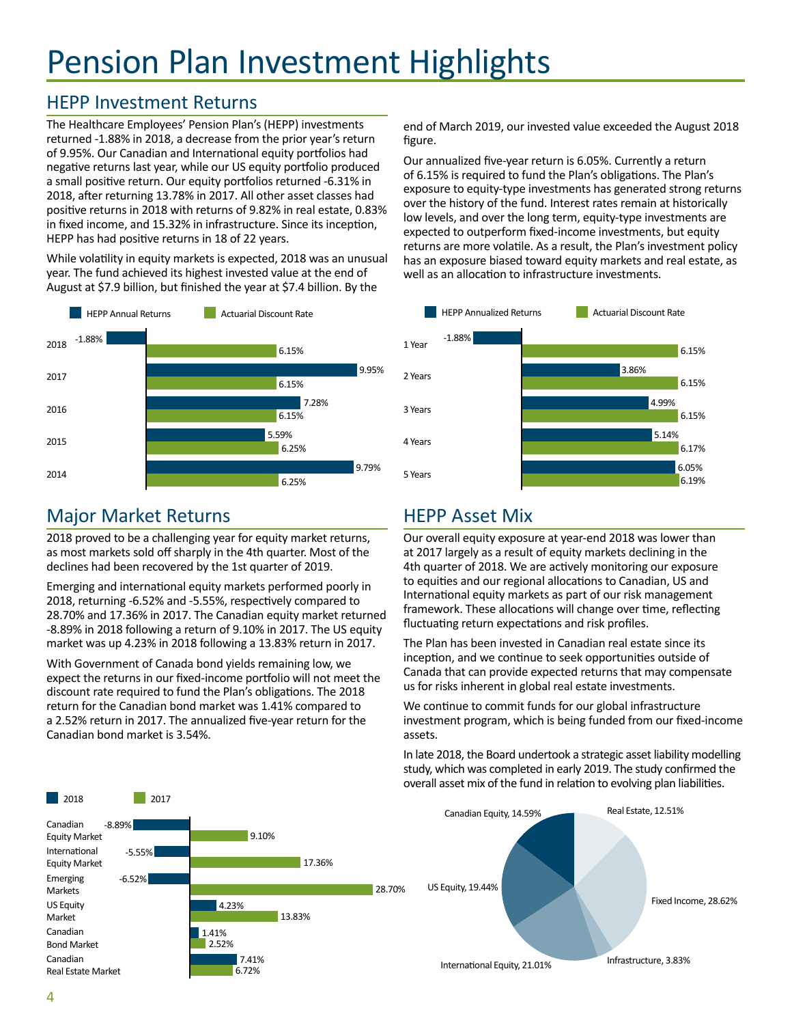## Pension Plan Investment Highlights

### HEPP Investment Returns

The Healthcare Employees' Pension Plan's (HEPP) investments returned -1.88% in 2018, a decrease from the prior year's return of 9.95%. Our Canadian and International equity portfolios had negative returns last year, while our US equity portfolio produced a small positive return. Our equity portfolios returned -6.31% in 2018, after returning 13.78% in 2017. All other asset classes had positive returns in 2018 with returns of 9.82% in real estate, 0.83% in fixed income, and 15.32% in infrastructure. Since its inception, HEPP has had positive returns in 18 of 22 years.

While volatility in equity markets is expected, 2018 was an unusual year. The fund achieved its highest invested value at the end of August at \$7.9 billion, but finished the year at \$7.4 billion. By the



### Major Market Returns

2018 proved to be a challenging year for equity market returns, as most markets sold off sharply in the 4th quarter. Most of the declines had been recovered by the 1st quarter of 2019.

Emerging and international equity markets performed poorly in 2018, returning -6.52% and -5.55%, respectively compared to 28.70% and 17.36% in 2017. The Canadian equity market returned -8.89% in 2018 following a return of 9.10% in 2017. The US equity market was up 4.23% in 2018 following a 13.83% return in 2017.

With Government of Canada bond yields remaining low, we expect the returns in our fixed-income portfolio will not meet the discount rate required to fund the Plan's obligations. The 2018 return for the Canadian bond market was 1.41% compared to a 2.52% return in 2017. The annualized five-year return for the Canadian bond market is 3.54%.

end of March 2019, our invested value exceeded the August 2018 figure.

Our annualized five-year return is 6.05%. Currently a return of 6.15% is required to fund the Plan's obligations. The Plan's exposure to equity-type investments has generated strong returns over the history of the fund. Interest rates remain at historically low levels, and over the long term, equity-type investments are expected to outperform fixed-income investments, but equity returns are more volatile. As a result, the Plan's investment policy has an exposure biased toward equity markets and real estate, as well as an allocation to infrastructure investments.



### HEPP Asset Mix

Our overall equity exposure at year-end 2018 was lower than at 2017 largely as a result of equity markets declining in the 4th quarter of 2018. We are actively monitoring our exposure to equities and our regional allocations to Canadian, US and International equity markets as part of our risk management framework. These allocations will change over time, reflecting fluctuating return expectations and risk profiles.

The Plan has been invested in Canadian real estate since its inception, and we continue to seek opportunities outside of Canada that can provide expected returns that may compensate us for risks inherent in global real estate investments.

We continue to commit funds for our global infrastructure investment program, which is being funded from our fixed-income assets.

In late 2018, the Board undertook a strategic asset liability modelling study, which was completed in early 2019. The study confirmed the overall asset mix of the fund in relation to evolving plan liabilities.

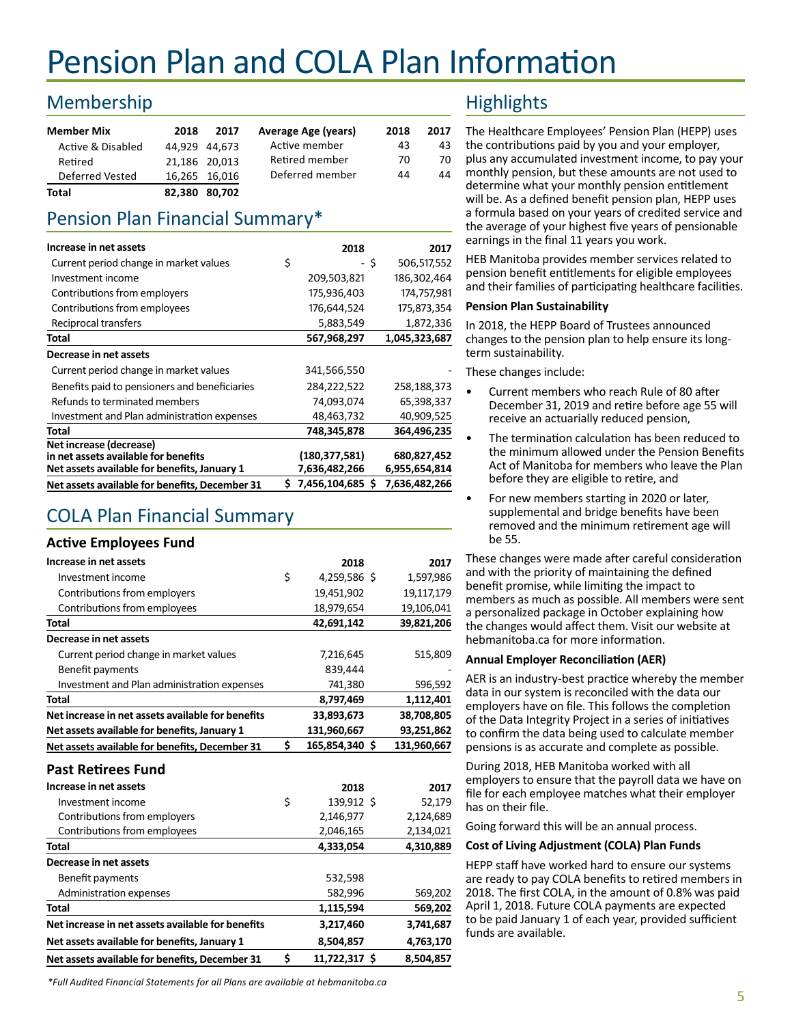## Pension Plan and COLA Plan Information

### Membership

| <b>Member Mix</b> | 2018          | 2017          | <b>Average Age (years)</b> | 2018 | 2017 |
|-------------------|---------------|---------------|----------------------------|------|------|
| Active & Disabled |               | 44.929 44.673 | Active member              | 43   | 43   |
| Retired           |               | 21.186 20.013 | Retired member             | 70   | 70   |
| Deferred Vested   |               | 16,265 16,016 | Deferred member            | 44   | 44   |
| Total             | 82.380 80.702 |               |                            |      |      |

### Pension Plan Financial Summary\*

| Increase in net assets                                                               |    | 2018                           |     | 2017                         |
|--------------------------------------------------------------------------------------|----|--------------------------------|-----|------------------------------|
| Current period change in market values                                               | \$ |                                | - S | 506,517,552                  |
| Investment income                                                                    |    | 209,503,821                    |     | 186,302,464                  |
| Contributions from employers                                                         |    | 175,936,403                    |     | 174,757,981                  |
| Contributions from employees                                                         |    | 176,644,524                    |     | 175,873,354                  |
| Reciprocal transfers                                                                 |    | 5,883,549                      |     | 1,872,336                    |
| Total                                                                                |    | 567,968,297                    |     | 1,045,323,687                |
| Decrease in net assets                                                               |    |                                |     |                              |
| Current period change in market values                                               |    | 341,566,550                    |     |                              |
| Benefits paid to pensioners and beneficiaries                                        |    | 284,222,522                    |     | 258,188,373                  |
| Refunds to terminated members                                                        |    | 74,093,074                     |     | 65,398,337                   |
| Investment and Plan administration expenses                                          |    | 48,463,732                     |     | 40,909,525                   |
| Total                                                                                |    | 748,345,878                    |     | 364,496,235                  |
| Net increase (decrease)                                                              |    |                                |     |                              |
| in net assets available for benefits<br>Net assets available for benefits, January 1 |    | (180,377,581)<br>7,636,482,266 |     | 680,827,452<br>6,955,654,814 |
|                                                                                      |    |                                |     |                              |
| Net assets available for benefits, December 31                                       | S  | 7,456,104,685                  | s   | 7,636,482,266                |

### COLA Plan Financial Summary

#### **Active Employees Fund**

| Increase in net assets                            | 2018                 | 2017        |
|---------------------------------------------------|----------------------|-------------|
| Investment income                                 | \$<br>4,259,586 \$   | 1,597,986   |
| Contributions from employers                      | 19,451,902           | 19,117,179  |
| Contributions from employees                      | 18,979,654           | 19,106,041  |
| <b>Total</b>                                      | 42,691,142           | 39,821,206  |
| Decrease in net assets                            |                      |             |
| Current period change in market values            | 7,216,645            | 515,809     |
| Benefit payments                                  | 839,444              |             |
| Investment and Plan administration expenses       | 741,380              | 596,592     |
| <b>Total</b>                                      | 8,797,469            | 1,112,401   |
| Net increase in net assets available for benefits | 33,893,673           | 38,708,805  |
| Net assets available for benefits, January 1      | 131,960,667          | 93,251,862  |
| Net assets available for benefits, December 31    | \$<br>165,854,340 \$ | 131,960,667 |
| <b>Past Retirees Fund</b>                         |                      |             |
| Increase in net assets                            | 2018                 | 2017        |
| Investment income                                 | \$<br>139,912 \$     | 52,179      |
| Contributions from employers                      | 2,146,977            | 2,124,689   |
| Contributions from employees                      | 2,046,165            | 2,134,021   |
| <b>Total</b>                                      | 4,333,054            | 4,310,889   |
| Decrease in net assets                            |                      |             |
| Benefit payments                                  | 532,598              |             |
| Administration expenses                           | 582,996              | 569,202     |
| <b>Total</b>                                      | 1,115,594            | 569,202     |
| Net increase in net assets available for benefits | 3,217,460            | 3,741,687   |
| Net assets available for benefits, January 1      | 8,504,857            | 4,763,170   |
| Net assets available for benefits, December 31    | \$<br>11,722,317 \$  | 8,504,857   |

#### Highlights

The Healthcare Employees' Pension Plan (HEPP) uses the contributions paid by you and your employer, plus any accumulated investment income, to pay your monthly pension, but these amounts are not used to determine what your monthly pension entitlement will be. As a defined benefit pension plan, HEPP uses a formula based on your years of credited service and the average of your highest five years of pensionable earnings in the final 11 years you work.

HEB Manitoba provides member services related to pension benefit entitlements for eligible employees and their families of participating healthcare facilities.

#### **Pension Plan Sustainability**

In 2018, the HEPP Board of Trustees announced changes to the pension plan to help ensure its longterm sustainability.

These changes include:

- Current members who reach Rule of 80 after December 31, 2019 and retire before age 55 will receive an actuarially reduced pension,
- The termination calculation has been reduced to the minimum allowed under the Pension Benefits Act of Manitoba for members who leave the Plan before they are eligible to retire, and
- For new members starting in 2020 or later, supplemental and bridge benefits have been removed and the minimum retirement age will be 55.

These changes were made after careful consideration and with the priority of maintaining the defined benefit promise, while limiting the impact to members as much as possible. All members were sent a personalized package in October explaining how the changes would affect them. Visit our website at hebmanitoba.ca for more information.

#### **Annual Employer Reconciliation (AER)**

AER is an industry-best practice whereby the member data in our system is reconciled with the data our employers have on file. This follows the completion of the Data Integrity Project in a series of initiatives to confirm the data being used to calculate member pensions is as accurate and complete as possible.

During 2018, HEB Manitoba worked with all employers to ensure that the payroll data we have on file for each employee matches what their employer has on their file.

Going forward this will be an annual process.

#### **Cost of Living Adjustment (COLA) Plan Funds**

HEPP staff have worked hard to ensure our systems are ready to pay COLA benefits to retired members in 2018. The first COLA, in the amount of 0.8% was paid April 1, 2018. Future COLA payments are expected to be paid January 1 of each year, provided sufficient funds are available.

*\*Full Audited Financial Statements for all Plans are available at hebmanitoba.ca*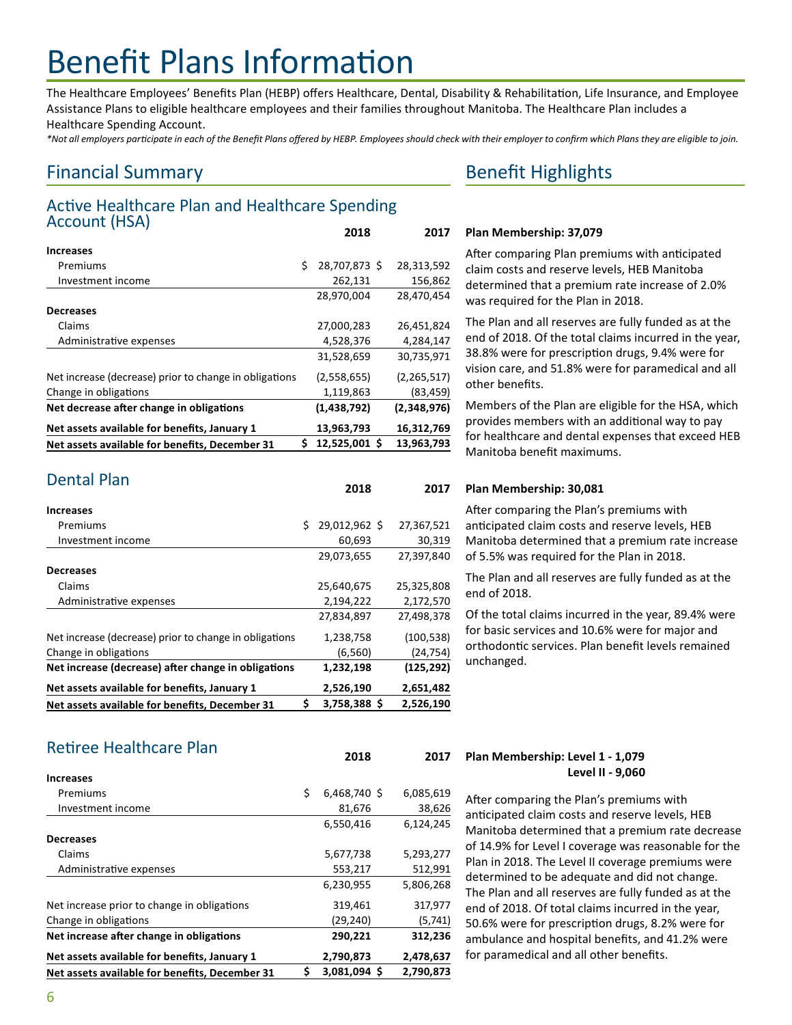## Benefit Plans Information

The Healthcare Employees' Benefits Plan (HEBP) offers Healthcare, Dental, Disability & Rehabilitation, Life Insurance, and Employee Assistance Plans to eligible healthcare employees and their families throughout Manitoba. The Healthcare Plan includes a Healthcare Spending Account.

*\*Not all employers participate in each of the Benefit Plans offered by HEBP. Employees should check with their employer to confirm which Plans they are eligible to join.*

### Financial Summary

#### Active Healthcare Plan and Healthcare Spending Account (HSA)

|                                                        |    | 2018          | 2017          |
|--------------------------------------------------------|----|---------------|---------------|
| <b>Increases</b>                                       |    |               |               |
| Premiums                                               | Ś  | 28,707,873 \$ | 28,313,592    |
| Investment income                                      |    | 262,131       | 156,862       |
|                                                        |    | 28,970,004    | 28,470,454    |
| <b>Decreases</b>                                       |    |               |               |
| Claims                                                 |    | 27,000,283    | 26,451,824    |
| Administrative expenses                                |    | 4,528,376     | 4,284,147     |
|                                                        |    | 31,528,659    | 30,735,971    |
| Net increase (decrease) prior to change in obligations |    | (2,558,655)   | (2, 265, 517) |
| Change in obligations                                  |    | 1,119,863     | (83, 459)     |
| Net decrease after change in obligations               |    | (1,438,792)   | (2,348,976)   |
| Net assets available for benefits, January 1           |    | 13,963,793    | 16,312,769    |
| Net assets available for benefits, December 31         | \$ | 12,525,001 \$ | 13,963,793    |

#### Dental Plan

| Net assets available for benefits, December 31         | \$ | 3,758,388 \$  | 2,526,190  |
|--------------------------------------------------------|----|---------------|------------|
| Net assets available for benefits, January 1           |    | 2,526,190     | 2,651,482  |
| Net increase (decrease) after change in obligations    |    | 1,232,198     | (125, 292) |
| Change in obligations                                  |    | (6, 560)      | (24, 754)  |
| Net increase (decrease) prior to change in obligations |    | 1,238,758     | (100, 538) |
|                                                        |    | 27,834,897    | 27,498,378 |
| Administrative expenses                                |    | 2,194,222     | 2,172,570  |
| Claims                                                 |    | 25,640,675    | 25,325,808 |
| <b>Decreases</b>                                       |    |               |            |
|                                                        |    | 29,073,655    | 27,397,840 |
| Investment income                                      |    | 60,693        | 30,319     |
| Premiums                                               | Ś. | 29,012,962 \$ | 27,367,521 |
| <b>Increases</b>                                       |    |               |            |
|                                                        |    |               |            |

#### Benefit Highlights

#### **Plan Membership: 37,079**

After comparing Plan premiums with anticipated claim costs and reserve levels, HEB Manitoba determined that a premium rate increase of 2.0% was required for the Plan in 2018.

The Plan and all reserves are fully funded as at the end of 2018. Of the total claims incurred in the year, 38.8% were for prescription drugs, 9.4% were for vision care, and 51.8% were for paramedical and all other benefits.

Members of the Plan are eligible for the HSA, which provides members with an additional way to pay for healthcare and dental expenses that exceed HEB Manitoba benefit maximums.

#### **Plan Membership: 30,081 2018 2017**

After comparing the Plan's premiums with anticipated claim costs and reserve levels, HEB Manitoba determined that a premium rate increase of 5.5% was required for the Plan in 2018.

The Plan and all reserves are fully funded as at the end of 2018.

Of the total claims incurred in the year, 89.4% were for basic services and 10.6% were for major and orthodontic services. Plan benefit levels remained unchanged.

#### Retiree Healthcare Plan

|                                                |    | 2018         | 2017      |
|------------------------------------------------|----|--------------|-----------|
| <b>Increases</b>                               |    |              |           |
| Premiums                                       | Ś  | 6,468,740 \$ | 6,085,619 |
| Investment income                              |    | 81,676       | 38,626    |
|                                                |    | 6,550,416    | 6,124,245 |
| <b>Decreases</b>                               |    |              |           |
| Claims                                         |    | 5,677,738    | 5,293,277 |
| Administrative expenses                        |    | 553,217      | 512,991   |
|                                                |    | 6,230,955    | 5,806,268 |
| Net increase prior to change in obligations    |    | 319,461      | 317,977   |
| Change in obligations                          |    | (29, 240)    | (5,741)   |
| Net increase after change in obligations       |    | 290,221      | 312,236   |
| Net assets available for benefits, January 1   |    | 2,790,873    | 2,478,637 |
| Net assets available for benefits, December 31 | \$ | 3.081.094 \$ | 2.790.873 |

#### **Plan Membership: Level 1 - 1,079 Level II - 9,060**

After comparing the Plan's premiums with anticipated claim costs and reserve levels, HEB Manitoba determined that a premium rate decrease of 14.9% for Level I coverage was reasonable for the Plan in 2018. The Level II coverage premiums were determined to be adequate and did not change. The Plan and all reserves are fully funded as at the end of 2018. Of total claims incurred in the year, 50.6% were for prescription drugs, 8.2% were for ambulance and hospital benefits, and 41.2% were for paramedical and all other benefits.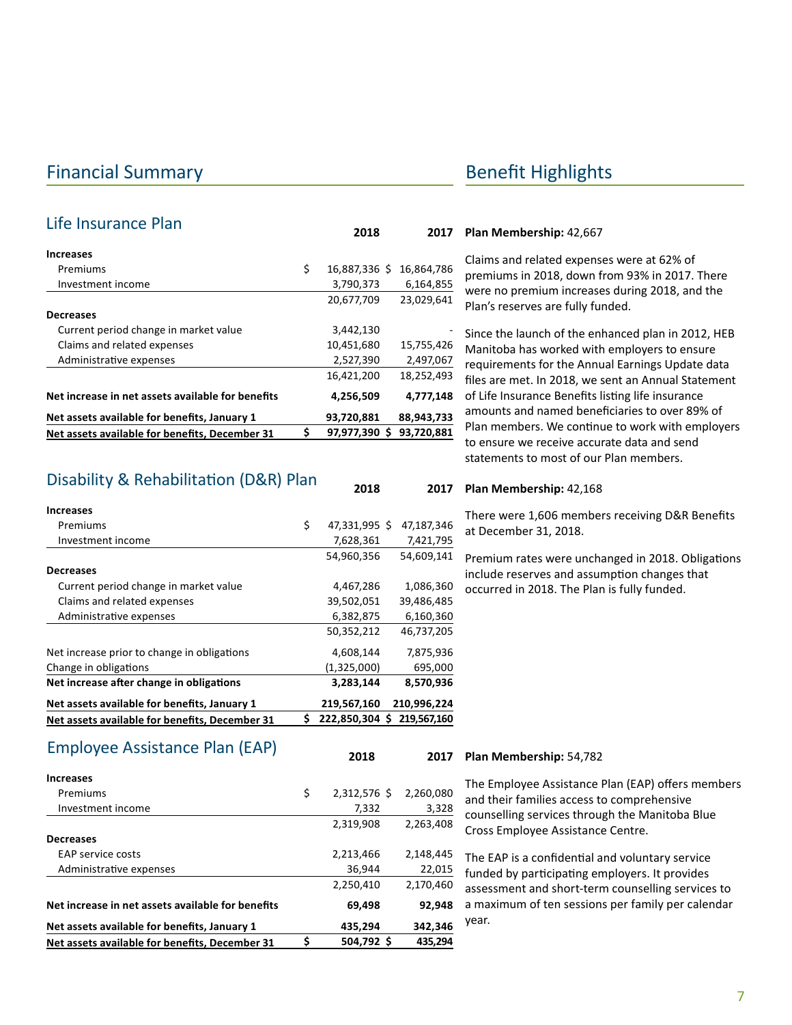#### Financial Summary **Benefit Highlights**

| Life Insurance Plan                               | 2018                | 2017       |
|---------------------------------------------------|---------------------|------------|
|                                                   |                     |            |
| <b>Increases</b>                                  |                     |            |
| Premiums                                          | \$<br>16,887,336 \$ | 16,864,786 |
| Investment income                                 | 3,790,373           | 6,164,855  |
|                                                   | 20,677,709          | 23,029,641 |
| <b>Decreases</b>                                  |                     |            |
| Current period change in market value             | 3,442,130           |            |
| Claims and related expenses                       | 10,451,680          | 15,755,426 |
| Administrative expenses                           | 2,527,390           | 2,497,067  |
|                                                   | 16,421,200          | 18,252,493 |
| Net increase in net assets available for benefits | 4,256,509           | 4,777,148  |
| Net assets available for benefits, January 1      | 93,720,881          | 88,943,733 |
| Net assets available for benefits, December 31    | \$<br>97,977,390 \$ | 93,720,881 |

#### Disability & Rehabilitation (D&R) Plan

| <b>Increases</b>                               |    |                            |             |
|------------------------------------------------|----|----------------------------|-------------|
| Premiums                                       | \$ | 47,331,995 \$              | 47,187,346  |
| Investment income                              |    | 7,628,361                  | 7,421,795   |
|                                                |    | 54,960,356                 | 54,609,141  |
| <b>Decreases</b>                               |    |                            |             |
| Current period change in market value          |    | 4,467,286                  | 1,086,360   |
| Claims and related expenses                    |    | 39,502,051                 | 39,486,485  |
| Administrative expenses                        |    | 6,382,875                  | 6,160,360   |
|                                                |    | 50,352,212                 | 46,737,205  |
| Net increase prior to change in obligations    |    | 4,608,144                  | 7,875,936   |
| Change in obligations                          |    | (1,325,000)                | 695,000     |
| Net increase after change in obligations       |    | 3,283,144                  | 8,570,936   |
| Net assets available for benefits, January 1   |    | 219,567,160                | 210,996,224 |
| Net assets available for benefits, December 31 | S. | 222,850,304 \$ 219,567,160 |             |

#### Employee Assistance Plan (EAP)

| Net assets available for benefits, December 31    | \$<br>504,792 \$   | 435,294   |
|---------------------------------------------------|--------------------|-----------|
| Net assets available for benefits, January 1      | 435,294            | 342,346   |
| Net increase in net assets available for benefits | 69,498             | 92,948    |
|                                                   | 2,250,410          | 2,170,460 |
| Administrative expenses                           | 36,944             | 22,015    |
| <b>EAP service costs</b>                          | 2,213,466          | 2,148,445 |
| <b>Decreases</b>                                  |                    |           |
|                                                   | 2,319,908          | 2,263,408 |
| Investment income                                 | 7,332              | 3,328     |
| Premiums                                          | \$<br>2,312,576 \$ | 2,260,080 |
| <b>Increases</b>                                  |                    |           |
|                                                   |                    |           |

#### **Plan Membership:** 42,667

Claims and related expenses were at 62% of premiums in 2018, down from 93% in 2017. There were no premium increases during 2018, and the Plan's reserves are fully funded.

Since the launch of the enhanced plan in 2012, HEB Manitoba has worked with employers to ensure requirements for the Annual Earnings Update data files are met. In 2018, we sent an Annual Statement of Life Insurance Benefits listing life insurance amounts and named beneficiaries to over 89% of Plan members. We continue to work with employers to ensure we receive accurate data and send statements to most of our Plan members.

#### **Plan Membership:** 42,168 **2018 2017**

There were 1,606 members receiving D&R Benefits at December 31, 2018.

Premium rates were unchanged in 2018. Obligations include reserves and assumption changes that occurred in 2018. The Plan is fully funded.

#### **Plan Membership:** 54,782 **2018 2017**

The Employee Assistance Plan (EAP) offers members and their families access to comprehensive counselling services through the Manitoba Blue Cross Employee Assistance Centre.

The EAP is a confidential and voluntary service funded by participating employers. It provides assessment and short-term counselling services to a maximum of ten sessions per family per calendar year.